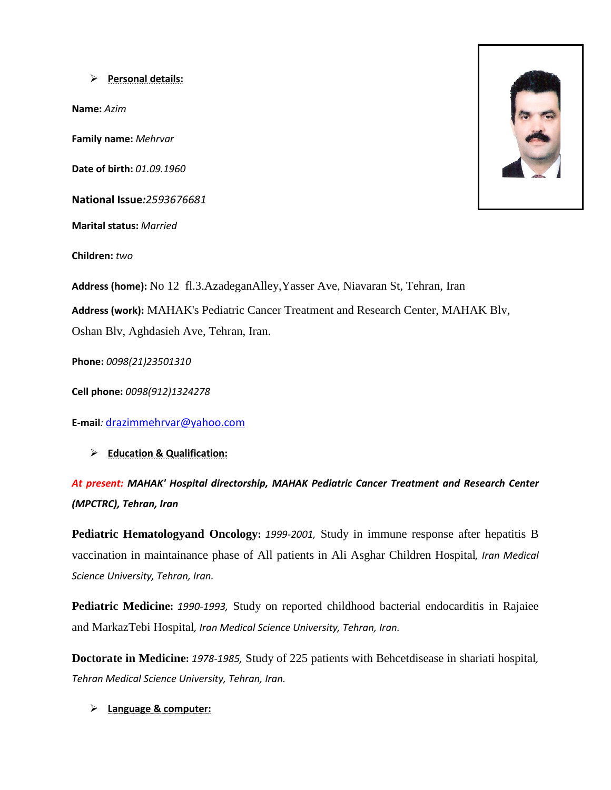### **Personal details:**

**Name:** *Azim* 

**Family name:** *Mehrvar* 

**Date of birth:** *01.09.1960*

**National Issue***:2593676681*

**Marital status:** *Married* 

**Children:** *two* 

**Address (home):** No 12 fl.3.AzadeganAlley,Yasser Ave, Niavaran St, Tehran, Iran **Address (work):** MAHAK's Pediatric Cancer Treatment and Research Center, MAHAK Blv, Oshan Blv, Aghdasieh Ave, Tehran, Iran.

**Phone:** *0098(21)23501310*

**Cell phone:** *0098(912)1324278*

**E-mail***:* [drazimmehrvar@yahoo.com](mailto:drazimmehrvar@yahoo.com)

**Education & Qualification:**

*At present: MAHAK' Hospital directorship, MAHAK Pediatric Cancer Treatment and Research Center (MPCTRC), Tehran, Iran*

**Pediatric Hematologyand Oncology:** *1999-2001,* Study in immune response after hepatitis B vaccination in maintainance phase of All patients in Ali Asghar Children Hospital*, Iran Medical Science University, Tehran, Iran.* 

**Pediatric Medicine:** *1990-1993,* Study on reported childhood bacterial endocarditis in Rajaiee and MarkazTebi Hospital*, Iran Medical Science University, Tehran, Iran.*

**Doctorate in Medicine:** *1978-1985,* Study of 225 patients with Behcetdisease in shariati hospital*, Tehran Medical Science University, Tehran, Iran.* 

### **Language & computer:**

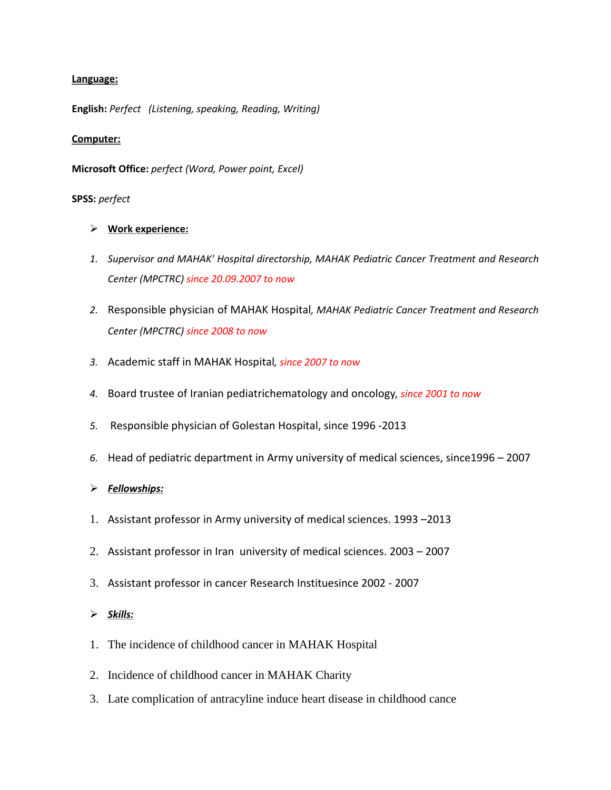## **Language:**

**English:** *Perfect (Listening, speaking, Reading, Writing)*

# **Computer:**

**Microsoft Office:** *perfect (Word, Power point, Excel)* 

# **SPSS:** *perfect*

- **Work experience:**
- *1. Supervisor and MAHAK' Hospital directorship, MAHAK Pediatric Cancer Treatment and Research Center (MPCTRC) since 20.09.2007 to now*
- *2.* Responsible physician of MAHAK Hospital*, MAHAK Pediatric Cancer Treatment and Research Center (MPCTRC) since 2008 to now*
- *3.* Academic staff in MAHAK Hospital*, since 2007 to now*
- *4.* Board trustee of Iranian pediatrichematology and oncology*, since 2001 to now*
- *5.* Responsible physician of Golestan Hospital, since 1996 -2013
- *6.* Head of pediatric department in Army university of medical sciences, since1996 2007

# *Fellowships:*

- 1. Assistant professor in Army university of medical sciences. 1993 –2013
- 2. Assistant professor in Iran university of medical sciences. 2003 2007
- 3. Assistant professor in cancer Research Instituesince 2002 2007

# *Skills:*

- 1. The incidence of childhood cancer in MAHAK Hospital
- 2. Incidence of childhood cancer in MAHAK Charity
- 3. Late complication of antracyline induce heart disease in childhood cance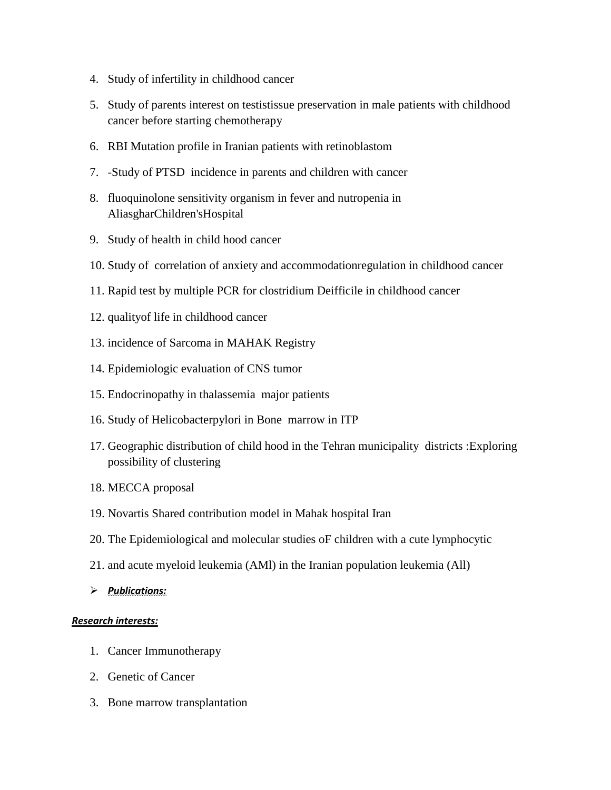- 4. Study of infertility in childhood cancer
- 5. Study of parents interest on testistissue preservation in male patients with childhood cancer before starting chemotherapy
- 6. RBI Mutation profile in Iranian patients with retinoblastom
- 7. -Study of PTSD incidence in parents and children with cancer
- 8. fluoquinolone sensitivity organism in fever and nutropenia in AliasgharChildren'sHospital
- 9. Study of health in child hood cancer
- 10. Study of correlation of anxiety and accommodationregulation in childhood cancer
- 11. Rapid test by multiple PCR for clostridium Deifficile in childhood cancer
- 12. qualityof life in childhood cancer
- 13. incidence of Sarcoma in MAHAK Registry
- 14. Epidemiologic evaluation of CNS tumor
- 15. Endocrinopathy in thalassemia major patients
- 16. Study of Helicobacterpylori in Bone marrow in ITP
- 17. Geographic distribution of child hood in the Tehran municipality districts :Exploring possibility of clustering
- 18. MECCA proposal
- 19. Novartis Shared contribution model in Mahak hospital Iran
- 20. The Epidemiological and molecular studies oF children with a cute lymphocytic
- 21. and acute myeloid leukemia (AMl) in the Iranian population leukemia (All)
- *Publications:*

# *Research interests:*

- 1. Cancer Immunotherapy
- 2. Genetic of Cancer
- 3. Bone marrow transplantation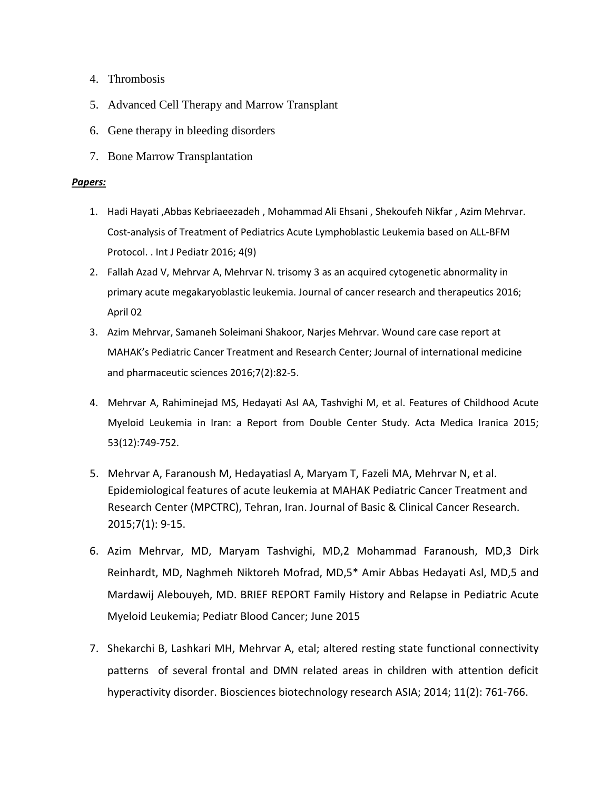- 4. Thrombosis
- 5. Advanced Cell Therapy and Marrow Transplant
- 6. Gene therapy in bleeding disorders
- 7. Bone Marrow Transplantation

# *Papers:*

- 1. Hadi Hayati ,Abbas Kebriaeezadeh , Mohammad Ali Ehsani , Shekoufeh Nikfar , Azim Mehrvar. Cost-analysis of Treatment of Pediatrics Acute Lymphoblastic Leukemia based on ALL-BFM Protocol. . Int J Pediatr 2016; 4(9)
- 2. Fallah Azad V, Mehrvar A, Mehrvar N. trisomy 3 as an acquired cytogenetic abnormality in primary acute megakaryoblastic leukemia. Journal of cancer research and therapeutics 2016; April 02
- 3. Azim Mehrvar, Samaneh Soleimani Shakoor, Narjes Mehrvar. Wound care case report at MAHAK's Pediatric Cancer Treatment and Research Center; Journal of international medicine and pharmaceutic sciences 2016;7(2):82-5.
- 4. Mehrvar A, Rahiminejad MS, Hedayati Asl AA, Tashvighi M, et al. Features of Childhood Acute Myeloid Leukemia in Iran: a Report from Double Center Study. Acta Medica Iranica 2015; 53(12):749-752.
- 5. Mehrvar A, Faranoush M, Hedayatiasl A, Maryam T, Fazeli MA, Mehrvar N, et al. Epidemiological features of acute leukemia at MAHAK Pediatric Cancer Treatment and Research Center (MPCTRC), Tehran, Iran. Journal of Basic & Clinical Cancer Research. 2015;7(1): 9-15.
- 6. Azim Mehrvar, MD, Maryam Tashvighi, MD,2 Mohammad Faranoush, MD,3 Dirk Reinhardt, MD, Naghmeh Niktoreh Mofrad, MD,5\* Amir Abbas Hedayati Asl, MD,5 and Mardawij Alebouyeh, MD. BRIEF REPORT Family History and Relapse in Pediatric Acute Myeloid Leukemia; Pediatr Blood Cancer; June 2015
- 7. Shekarchi B, Lashkari MH, Mehrvar A, etal; altered resting state functional connectivity patterns of several frontal and DMN related areas in children with attention deficit hyperactivity disorder. Biosciences biotechnology research ASIA; 2014; 11(2): 761-766.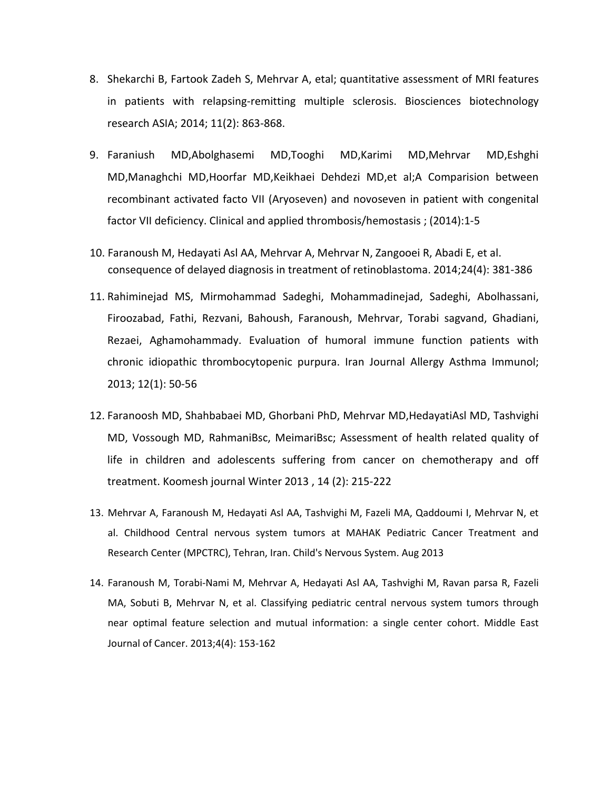- 8. Shekarchi B, Fartook Zadeh S, Mehrvar A, etal; quantitative assessment of MRI features in patients with relapsing-remitting multiple sclerosis. Biosciences biotechnology research ASIA; 2014; 11(2): 863-868.
- 9. Faraniush MD,Abolghasemi MD,Tooghi MD,Karimi MD,Mehrvar MD,Eshghi MD,Managhchi MD,Hoorfar MD,Keikhaei Dehdezi MD,et al;A Comparision between recombinant activated facto VII (Aryoseven) and novoseven in patient with congenital factor VII deficiency. Clinical and applied thrombosis/hemostasis ; (2014):1-5
- 10. Faranoush M, Hedayati Asl AA, Mehrvar A, Mehrvar N, Zangooei R, Abadi E, et al. consequence of delayed diagnosis in treatment of retinoblastoma. 2014;24(4): 381-386
- 11. Rahiminejad MS, Mirmohammad Sadeghi, Mohammadinejad, Sadeghi, Abolhassani, Firoozabad, Fathi, Rezvani, Bahoush, Faranoush, Mehrvar, Torabi sagvand, Ghadiani, Rezaei, Aghamohammady. Evaluation of humoral immune function patients with chronic idiopathic thrombocytopenic purpura. Iran Journal Allergy Asthma Immunol; 2013; 12(1): 50-56
- 12. Faranoosh MD, Shahbabaei MD, Ghorbani PhD, Mehrvar MD,HedayatiAsl MD, Tashvighi MD, Vossough MD, RahmaniBsc, MeimariBsc; Assessment of health related quality of life in children and adolescents suffering from cancer on chemotherapy and off treatment. Koomesh journal Winter 2013 , 14 (2): 215-222
- 13. Mehrvar A, Faranoush M, Hedayati Asl AA, Tashvighi M, Fazeli MA, Qaddoumi I, Mehrvar N, et al. Childhood Central nervous system tumors at MAHAK Pediatric Cancer Treatment and Research Center (MPCTRC), Tehran, Iran. Child's Nervous System. Aug 2013
- 14. Faranoush M, Torabi-Nami M, Mehrvar A, Hedayati Asl AA, Tashvighi M, Ravan parsa R, Fazeli MA, Sobuti B, Mehrvar N, et al. Classifying pediatric central nervous system tumors through near optimal feature selection and mutual information: a single center cohort. Middle East Journal of Cancer. 2013;4(4): 153-162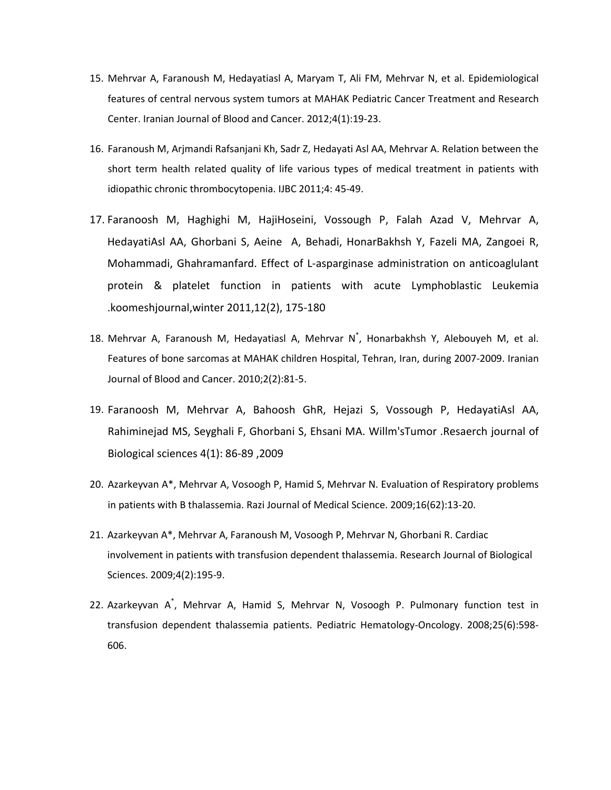- 15. Mehrvar A, Faranoush M, Hedayatiasl A, Maryam T, Ali FM, Mehrvar N, et al. Epidemiological features of central nervous system tumors at MAHAK Pediatric Cancer Treatment and Research Center. Iranian Journal of Blood and Cancer. 2012;4(1):19-23.
- 16. Faranoush M, Arjmandi Rafsanjani Kh, Sadr Z, Hedayati Asl AA, Mehrvar A. Relation between the short term health related quality of life various types of medical treatment in patients with idiopathic chronic thrombocytopenia. IJBC 2011;4: 45-49.
- 17. Faranoosh M, Haghighi M, HajiHoseini, Vossough P, Falah Azad V, Mehrvar A, HedayatiAsl AA, Ghorbani S, Aeine A, Behadi, HonarBakhsh Y, Fazeli MA, Zangoei R, Mohammadi, Ghahramanfard. Effect of L-asparginase administration on anticoaglulant protein & platelet function in patients with acute Lymphoblastic Leukemia .koomeshjournal,winter 2011,12(2), 175-180
- 18. Mehrvar A, Faranoush M, Hedayatiasl A, Mehrvar N\* , Honarbakhsh Y, Alebouyeh M, et al. Features of bone sarcomas at MAHAK children Hospital, Tehran, Iran, during 2007-2009. Iranian Journal of Blood and Cancer. 2010;2(2):81-5.
- 19. Faranoosh M, Mehrvar A, Bahoosh GhR, Hejazi S, Vossough P, HedayatiAsl AA, Rahiminejad MS, Seyghali F, Ghorbani S, Ehsani MA. Willm'sTumor .Resaerch journal of Biological sciences 4(1): 86-89 ,2009
- 20. Azarkeyvan A\*, Mehrvar A, Vosoogh P, Hamid S, Mehrvar N. Evaluation of Respiratory problems in patients with B thalassemia. Razi Journal of Medical Science. 2009;16(62):13-20.
- 21. Azarkeyvan A\*, Mehrvar A, Faranoush M, Vosoogh P, Mehrvar N, Ghorbani R. Cardiac involvement in patients with transfusion dependent thalassemia. Research Journal of Biological Sciences. 2009;4(2):195-9.
- 22. Azarkeyvan A\* , Mehrvar A, Hamid S, Mehrvar N, Vosoogh P. Pulmonary function test in transfusion dependent thalassemia patients. Pediatric Hematology-Oncology. 2008;25(6):598- 606.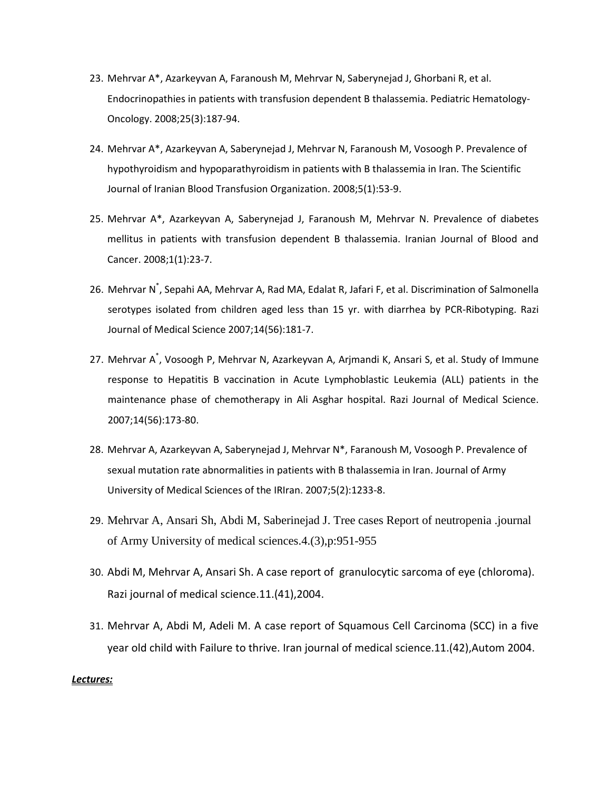- 23. Mehrvar A\*, Azarkeyvan A, Faranoush M, Mehrvar N, Saberynejad J, Ghorbani R, et al. Endocrinopathies in patients with transfusion dependent B thalassemia. Pediatric Hematology-Oncology. 2008;25(3):187-94.
- 24. Mehrvar A\*, Azarkeyvan A, Saberynejad J, Mehrvar N, Faranoush M, Vosoogh P. Prevalence of hypothyroidism and hypoparathyroidism in patients with B thalassemia in Iran. The Scientific Journal of Iranian Blood Transfusion Organization. 2008;5(1):53-9.
- 25. Mehrvar A\*, Azarkeyvan A, Saberynejad J, Faranoush M, Mehrvar N. Prevalence of diabetes mellitus in patients with transfusion dependent B thalassemia. Iranian Journal of Blood and Cancer. 2008;1(1):23-7.
- 26. Mehrvar N<sup>\*</sup>, Sepahi AA, Mehrvar A, Rad MA, Edalat R, Jafari F, et al. Discrimination of Salmonella serotypes isolated from children aged less than 15 yr. with diarrhea by PCR-Ribotyping. Razi Journal of Medical Science 2007;14(56):181-7.
- 27. Mehrvar A<sup>\*</sup>, Vosoogh P, Mehrvar N, Azarkeyvan A, Arjmandi K, Ansari S, et al. Study of Immune response to Hepatitis B vaccination in Acute Lymphoblastic Leukemia (ALL) patients in the maintenance phase of chemotherapy in Ali Asghar hospital. Razi Journal of Medical Science. 2007;14(56):173-80.
- 28. Mehrvar A, Azarkeyvan A, Saberynejad J, Mehrvar N\*, Faranoush M, Vosoogh P. Prevalence of sexual mutation rate abnormalities in patients with B thalassemia in Iran. Journal of Army University of Medical Sciences of the IRIran. 2007;5(2):1233-8.
- 29. Mehrvar A, Ansari Sh, Abdi M, Saberinejad J. Tree cases Report of neutropenia .journal of Army University of medical sciences.4.(3),p:951-955
- 30. Abdi M, Mehrvar A, Ansari Sh. A case report of granulocytic sarcoma of eye (chloroma). Razi journal of medical science.11.(41),2004.
- 31. Mehrvar A, Abdi M, Adeli M. A case report of Squamous Cell Carcinoma (SCC) in a five year old child with Failure to thrive. Iran journal of medical science.11.(42),Autom 2004.

#### *Lectures:*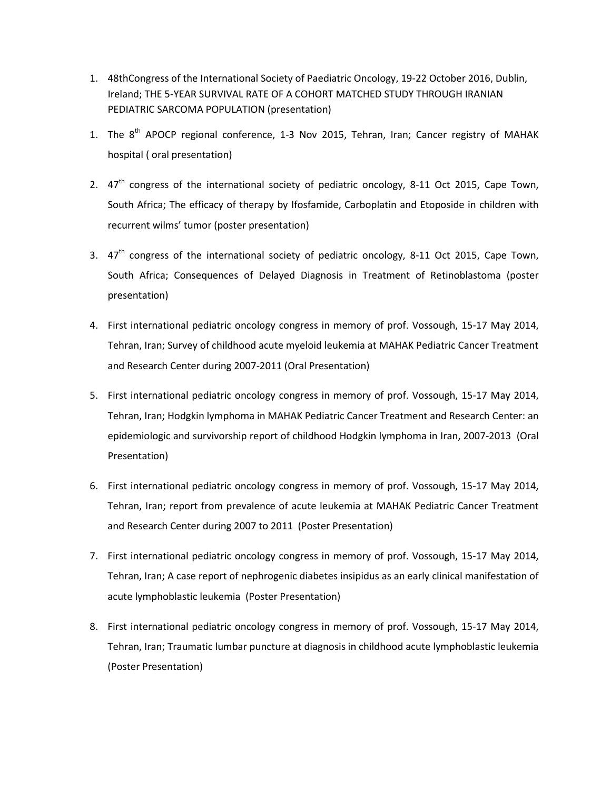- 1. 48thCongress of the International Society of Paediatric Oncology, 19-22 October 2016, Dublin, Ireland; THE 5-YEAR SURVIVAL RATE OF A COHORT MATCHED STUDY THROUGH IRANIAN PEDIATRIC SARCOMA POPULATION (presentation)
- 1. The  $8<sup>th</sup>$  APOCP regional conference, 1-3 Nov 2015, Tehran, Iran; Cancer registry of MAHAK hospital ( oral presentation)
- 2.  $47<sup>th</sup>$  congress of the international society of pediatric oncology, 8-11 Oct 2015, Cape Town, South Africa; The efficacy of therapy by Ifosfamide, Carboplatin and Etoposide in children with recurrent wilms' tumor (poster presentation)
- 3.  $47<sup>th</sup>$  congress of the international society of pediatric oncology, 8-11 Oct 2015, Cape Town, South Africa; Consequences of Delayed Diagnosis in Treatment of Retinoblastoma (poster presentation)
- 4. First international pediatric oncology congress in memory of prof. Vossough, 15-17 May 2014, Tehran, Iran; Survey of childhood acute myeloid leukemia at MAHAK Pediatric Cancer Treatment and Research Center during 2007-2011 (Oral Presentation)
- 5. First international pediatric oncology congress in memory of prof. Vossough, 15-17 May 2014, Tehran, Iran; Hodgkin lymphoma in MAHAK Pediatric Cancer Treatment and Research Center: an epidemiologic and survivorship report of childhood Hodgkin lymphoma in Iran, 2007-2013 (Oral Presentation)
- 6. First international pediatric oncology congress in memory of prof. Vossough, 15-17 May 2014, Tehran, Iran; report from prevalence of acute leukemia at MAHAK Pediatric Cancer Treatment and Research Center during 2007 to 2011 (Poster Presentation)
- 7. First international pediatric oncology congress in memory of prof. Vossough, 15-17 May 2014, Tehran, Iran; A case report of nephrogenic diabetes insipidus as an early clinical manifestation of acute lymphoblastic leukemia (Poster Presentation)
- 8. First international pediatric oncology congress in memory of prof. Vossough, 15-17 May 2014, Tehran, Iran; Traumatic lumbar puncture at diagnosis in childhood acute lymphoblastic leukemia (Poster Presentation)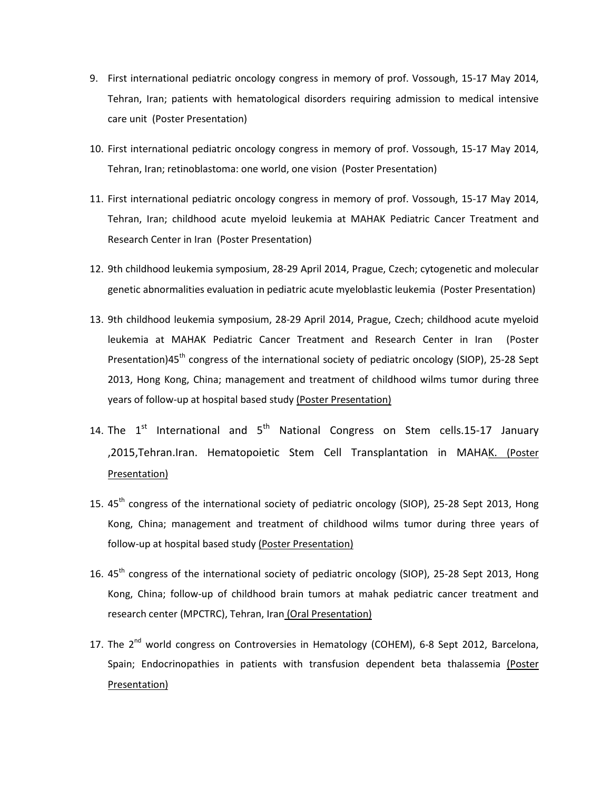- 9. First international pediatric oncology congress in memory of prof. Vossough, 15-17 May 2014, Tehran, Iran; patients with hematological disorders requiring admission to medical intensive care unit (Poster Presentation)
- 10. First international pediatric oncology congress in memory of prof. Vossough, 15-17 May 2014, Tehran, Iran; retinoblastoma: one world, one vision (Poster Presentation)
- 11. First international pediatric oncology congress in memory of prof. Vossough, 15-17 May 2014, Tehran, Iran; childhood acute myeloid leukemia at MAHAK Pediatric Cancer Treatment and Research Center in Iran (Poster Presentation)
- 12. 9th childhood leukemia symposium, 28-29 April 2014, Prague, Czech; cytogenetic and molecular genetic abnormalities evaluation in pediatric acute myeloblastic leukemia (Poster Presentation)
- 13. 9th childhood leukemia symposium, 28-29 April 2014, Prague, Czech; childhood acute myeloid leukemia at MAHAK Pediatric Cancer Treatment and Research Center in Iran (Poster Presentation)45<sup>th</sup> congress of the international society of pediatric oncology (SIOP), 25-28 Sept 2013, Hong Kong, China; management and treatment of childhood wilms tumor during three years of follow-up at hospital based study (Poster Presentation)
- 14. The  $1<sup>st</sup>$  International and  $5<sup>th</sup>$  National Congress on Stem cells.15-17 January ,2015,Tehran.Iran. Hematopoietic Stem Cell Transplantation in MAHAK. (Poster Presentation)
- 15. 45<sup>th</sup> congress of the international society of pediatric oncology (SIOP), 25-28 Sept 2013, Hong Kong, China; management and treatment of childhood wilms tumor during three years of follow-up at hospital based study (Poster Presentation)
- 16. 45<sup>th</sup> congress of the international society of pediatric oncology (SIOP), 25-28 Sept 2013, Hong Kong, China; follow-up of childhood brain tumors at mahak pediatric cancer treatment and research center (MPCTRC), Tehran, Iran (Oral Presentation)
- 17. The  $2^{nd}$  world congress on Controversies in Hematology (COHEM), 6-8 Sept 2012, Barcelona, Spain; Endocrinopathies in patients with transfusion dependent beta thalassemia (Poster Presentation)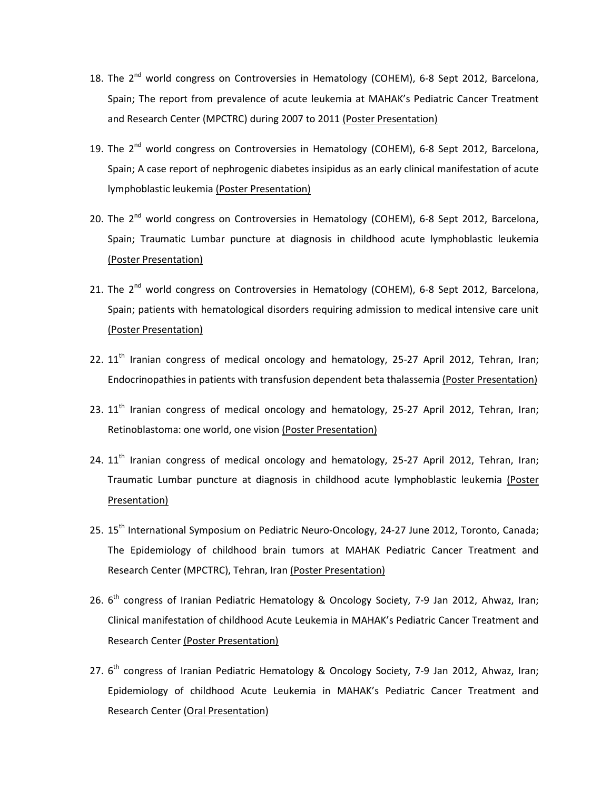- 18. The 2<sup>nd</sup> world congress on Controversies in Hematology (COHEM), 6-8 Sept 2012, Barcelona, Spain; The report from prevalence of acute leukemia at MAHAK's Pediatric Cancer Treatment and Research Center (MPCTRC) during 2007 to 2011 (Poster Presentation)
- 19. The  $2^{nd}$  world congress on Controversies in Hematology (COHEM), 6-8 Sept 2012, Barcelona, Spain; A case report of nephrogenic diabetes insipidus as an early clinical manifestation of acute lymphoblastic leukemia (Poster Presentation)
- 20. The  $2^{nd}$  world congress on Controversies in Hematology (COHEM), 6-8 Sept 2012, Barcelona, Spain; Traumatic Lumbar puncture at diagnosis in childhood acute lymphoblastic leukemia (Poster Presentation)
- 21. The 2<sup>nd</sup> world congress on Controversies in Hematology (COHEM), 6-8 Sept 2012, Barcelona, Spain; patients with hematological disorders requiring admission to medical intensive care unit (Poster Presentation)
- 22.  $11<sup>th</sup>$  Iranian congress of medical oncology and hematology, 25-27 April 2012, Tehran, Iran; Endocrinopathies in patients with transfusion dependent beta thalassemia (Poster Presentation)
- 23.  $11<sup>th</sup>$  Iranian congress of medical oncology and hematology, 25-27 April 2012, Tehran, Iran; Retinoblastoma: one world, one vision (Poster Presentation)
- 24.  $11<sup>th</sup>$  Iranian congress of medical oncology and hematology, 25-27 April 2012, Tehran, Iran; Traumatic Lumbar puncture at diagnosis in childhood acute lymphoblastic leukemia (Poster Presentation)
- 25. 15<sup>th</sup> International Symposium on Pediatric Neuro-Oncology, 24-27 June 2012, Toronto, Canada; The Epidemiology of childhood brain tumors at MAHAK Pediatric Cancer Treatment and Research Center (MPCTRC), Tehran, Iran (Poster Presentation)
- 26. 6<sup>th</sup> congress of Iranian Pediatric Hematology & Oncology Society, 7-9 Jan 2012, Ahwaz, Iran; Clinical manifestation of childhood Acute Leukemia in MAHAK's Pediatric Cancer Treatment and Research Center (Poster Presentation)
- 27. 6<sup>th</sup> congress of Iranian Pediatric Hematology & Oncology Society, 7-9 Jan 2012, Ahwaz, Iran; Epidemiology of childhood Acute Leukemia in MAHAK's Pediatric Cancer Treatment and Research Center (Oral Presentation)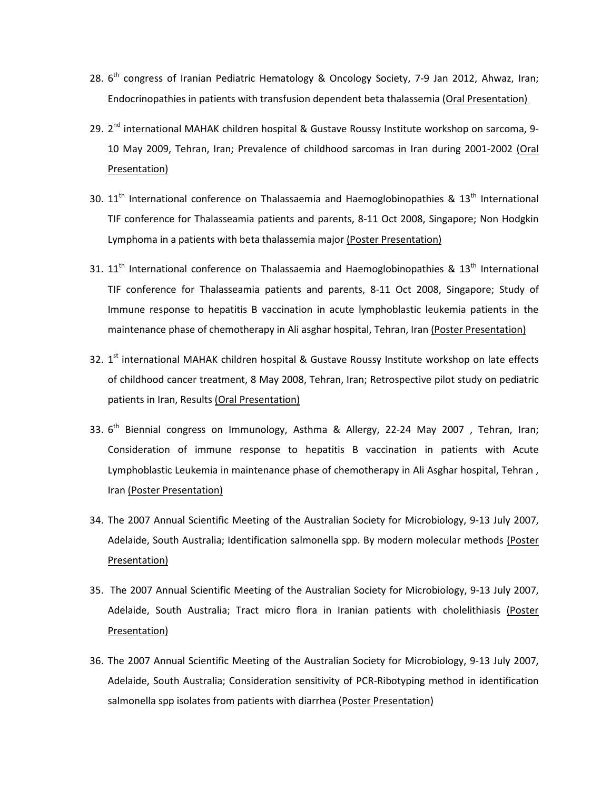- 28. 6<sup>th</sup> congress of Iranian Pediatric Hematology & Oncology Society, 7-9 Jan 2012, Ahwaz, Iran; Endocrinopathies in patients with transfusion dependent beta thalassemia (Oral Presentation)
- 29. 2<sup>nd</sup> international MAHAK children hospital & Gustave Roussy Institute workshop on sarcoma, 9-10 May 2009, Tehran, Iran; Prevalence of childhood sarcomas in Iran during 2001-2002 (Oral Presentation)
- 30.  $11<sup>th</sup>$  International conference on Thalassaemia and Haemoglobinopathies &  $13<sup>th</sup>$  International TIF conference for Thalasseamia patients and parents, 8-11 Oct 2008, Singapore; Non Hodgkin Lymphoma in a patients with beta thalassemia major (Poster Presentation)
- 31.  $11<sup>th</sup>$  International conference on Thalassaemia and Haemoglobinopathies &  $13<sup>th</sup>$  International TIF conference for Thalasseamia patients and parents, 8-11 Oct 2008, Singapore; Study of Immune response to hepatitis B vaccination in acute lymphoblastic leukemia patients in the maintenance phase of chemotherapy in Ali asghar hospital, Tehran, Iran (Poster Presentation)
- 32. 1<sup>st</sup> international MAHAK children hospital & Gustave Roussy Institute workshop on late effects of childhood cancer treatment, 8 May 2008, Tehran, Iran; Retrospective pilot study on pediatric patients in Iran, Results (Oral Presentation)
- 33.  $6<sup>th</sup>$  Biennial congress on Immunology, Asthma & Allergy, 22-24 May 2007, Tehran, Iran; Consideration of immune response to hepatitis B vaccination in patients with Acute Lymphoblastic Leukemia in maintenance phase of chemotherapy in Ali Asghar hospital, Tehran , Iran (Poster Presentation)
- 34. The 2007 Annual Scientific Meeting of the Australian Society for Microbiology, 9-13 July 2007, Adelaide, South Australia; Identification salmonella spp. By modern molecular methods (Poster Presentation)
- 35. The 2007 Annual Scientific Meeting of the Australian Society for Microbiology, 9-13 July 2007, Adelaide, South Australia; Tract micro flora in Iranian patients with cholelithiasis (Poster Presentation)
- 36. The 2007 Annual Scientific Meeting of the Australian Society for Microbiology, 9-13 July 2007, Adelaide, South Australia; Consideration sensitivity of PCR-Ribotyping method in identification salmonella spp isolates from patients with diarrhea (Poster Presentation)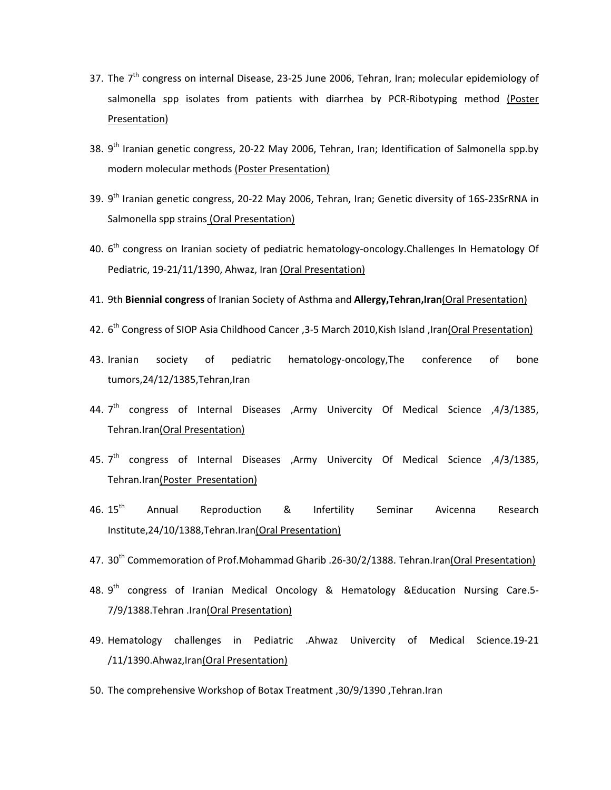- 37. The  $7<sup>th</sup>$  congress on internal Disease, 23-25 June 2006, Tehran, Iran; molecular epidemiology of salmonella spp isolates from patients with diarrhea by PCR-Ribotyping method (Poster Presentation)
- 38. 9<sup>th</sup> Iranian genetic congress, 20-22 May 2006, Tehran, Iran; Identification of Salmonella spp.by modern molecular methods (Poster Presentation)
- 39. 9<sup>th</sup> Iranian genetic congress, 20-22 May 2006, Tehran, Iran; Genetic diversity of 16S-23SrRNA in Salmonella spp strains (Oral Presentation)
- 40. 6<sup>th</sup> congress on Iranian society of pediatric hematology-oncology.Challenges In Hematology Of Pediatric, 19-21/11/1390, Ahwaz, Iran (Oral Presentation)
- 41. 9th **Biennial congress** of Iranian Society of Asthma and **Allergy,Tehran,Iran**(Oral Presentation)
- 42. 6<sup>th</sup> Congress of SIOP Asia Childhood Cancer , 3-5 March 2010, Kish Island , Iran(Oral Presentation)
- 43. Iranian society of pediatric hematology-oncology,The conference of bone tumors,24/12/1385,Tehran,Iran
- 44.  $7<sup>th</sup>$  congress of Internal Diseases ,Army Univercity Of Medical Science ,4/3/1385, Tehran.Iran(Oral Presentation)
- 45. 7<sup>th</sup> congress of Internal Diseases ,Army Univercity Of Medical Science ,4/3/1385, Tehran.Iran(Poster Presentation)
- 46. 15<sup>th</sup> Annual Reproduction & Infertility Seminar Avicenna Research Institute,24/10/1388,Tehran.Iran(Oral Presentation)
- 47. 30<sup>th</sup> Commemoration of Prof.Mohammad Gharib .26-30/2/1388. Tehran.Iran(Oral Presentation)
- 48.  $9<sup>th</sup>$  congress of Iranian Medical Oncology & Hematology & Education Nursing Care.5-7/9/1388.Tehran .Iran(Oral Presentation)
- 49. Hematology challenges in Pediatric .Ahwaz Univercity of Medical Science.19-21 /11/1390.Ahwaz,Iran(Oral Presentation)
- 50. The comprehensive Workshop of Botax Treatment ,30/9/1390 ,Tehran.Iran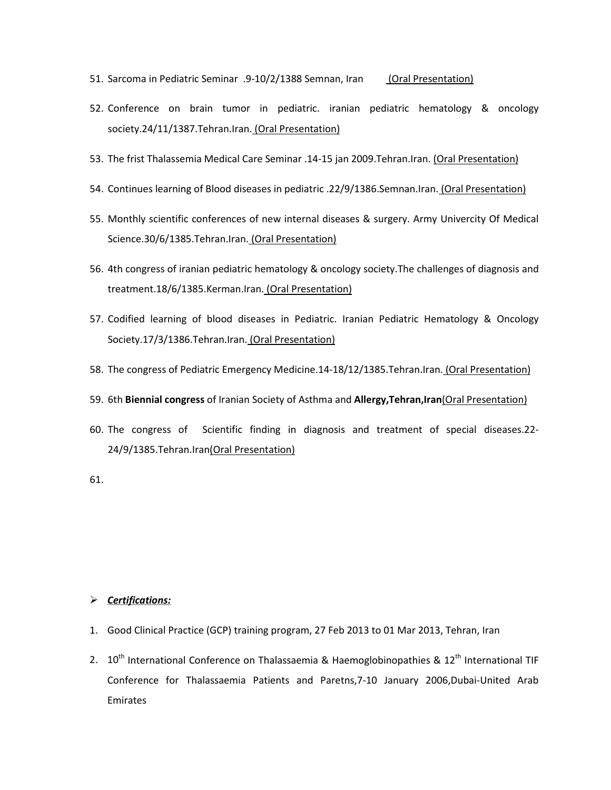- 51. Sarcoma in Pediatric Seminar .9-10/2/1388 Semnan, Iran (Oral Presentation)
- 52. Conference on brain tumor in pediatric. iranian pediatric hematology & oncology society.24/11/1387.Tehran.Iran. (Oral Presentation)
- 53. The frist Thalassemia Medical Care Seminar .14-15 jan 2009.Tehran.Iran. (Oral Presentation)
- 54. Continues learning of Blood diseases in pediatric .22/9/1386.Semnan.Iran. (Oral Presentation)
- 55. Monthly scientific conferences of new internal diseases & surgery. Army Univercity Of Medical Science.30/6/1385.Tehran.Iran. (Oral Presentation)
- 56. 4th congress of iranian pediatric hematology & oncology society.The challenges of diagnosis and treatment.18/6/1385.Kerman.Iran. (Oral Presentation)
- 57. Codified learning of blood diseases in Pediatric. Iranian Pediatric Hematology & Oncology Society.17/3/1386.Tehran.Iran. (Oral Presentation)
- 58. The congress of Pediatric Emergency Medicine.14-18/12/1385. Tehran. Iran. (Oral Presentation)
- 59. 6th **Biennial congress** of Iranian Society of Asthma and **Allergy,Tehran,Iran**(Oral Presentation)
- 60. The congress of Scientific finding in diagnosis and treatment of special diseases.22- 24/9/1385.Tehran.Iran(Oral Presentation)

61.

### *Certifications:*

- 1. Good Clinical Practice (GCP) training program, 27 Feb 2013 to 01 Mar 2013, Tehran, Iran
- 2.  $10^{th}$  International Conference on Thalassaemia & Haemoglobinopathies &  $12^{th}$  International TIF Conference for Thalassaemia Patients and Paretns,7-10 January 2006,Dubai-United Arab Emirates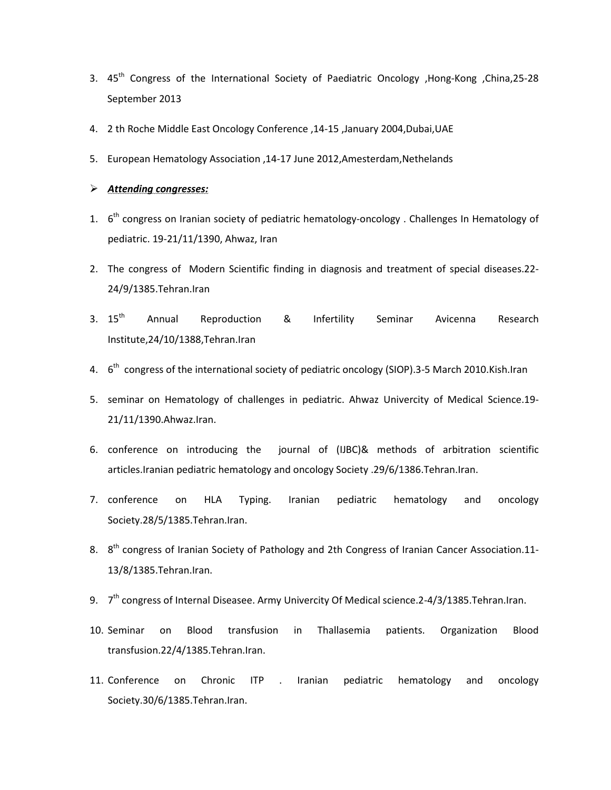- 3. 45th Congress of the International Society of Paediatric Oncology ,Hong-Kong ,China,25-28 September 2013
- 4. 2 th Roche Middle East Oncology Conference ,14-15 ,January 2004,Dubai,UAE
- 5. European Hematology Association ,14-17 June 2012,Amesterdam,Nethelands

## *Attending congresses:*

- 1.  $6<sup>th</sup>$  congress on Iranian society of pediatric hematology-oncology . Challenges In Hematology of pediatric. 19-21/11/1390, Ahwaz, Iran
- 2. The congress of Modern Scientific finding in diagnosis and treatment of special diseases.22- 24/9/1385.Tehran.Iran
- 3. 15<sup>th</sup> Annual Reproduction & Infertility Seminar Avicenna Research Institute,24/10/1388,Tehran.Iran
- 4. 6<sup>th</sup> congress of the international society of pediatric oncology (SIOP).3-5 March 2010.Kish.Iran
- 5. seminar on Hematology of challenges in pediatric. Ahwaz Univercity of Medical Science.19- 21/11/1390.Ahwaz.Iran.
- 6. conference on introducing the journal of (IJBC)& methods of arbitration scientific articles.Iranian pediatric hematology and oncology Society .29/6/1386.Tehran.Iran.
- 7. conference on HLA Typing. Iranian pediatric hematology and oncology Society.28/5/1385.Tehran.Iran.
- 8. 8<sup>th</sup> congress of Iranian Society of Pathology and 2th Congress of Iranian Cancer Association.11-13/8/1385.Tehran.Iran.
- 9.  $7<sup>th</sup>$  congress of Internal Diseasee. Army Univercity Of Medical science. 2-4/3/1385. Tehran. Iran.
- 10. Seminar on Blood transfusion in Thallasemia patients. Organization Blood transfusion.22/4/1385.Tehran.Iran.
- 11. Conference on Chronic ITP . Iranian pediatric hematology and oncology Society.30/6/1385.Tehran.Iran.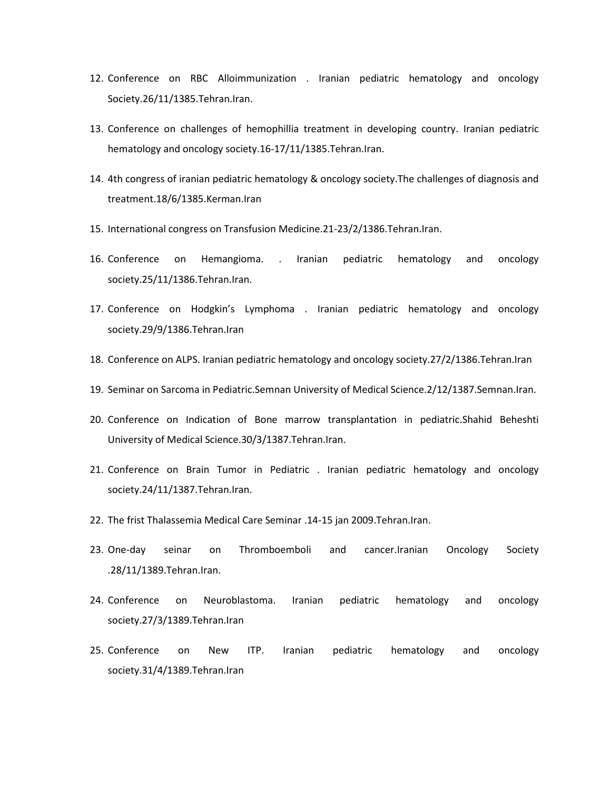- 12. Conference on RBC Alloimmunization . Iranian pediatric hematology and oncology Society.26/11/1385.Tehran.Iran.
- 13. Conference on challenges of hemophillia treatment in developing country. Iranian pediatric hematology and oncology society.16-17/11/1385.Tehran.Iran.
- 14. 4th congress of iranian pediatric hematology & oncology society.The challenges of diagnosis and treatment.18/6/1385.Kerman.Iran
- 15. International congress on Transfusion Medicine.21-23/2/1386.Tehran.Iran.
- 16. Conference on Hemangioma. . Iranian pediatric hematology and oncology society.25/11/1386.Tehran.Iran.
- 17. Conference on Hodgkin's Lymphoma . Iranian pediatric hematology and oncology society.29/9/1386.Tehran.Iran
- 18. Conference on ALPS. Iranian pediatric hematology and oncology society.27/2/1386.Tehran.Iran
- 19. Seminar on Sarcoma in Pediatric.Semnan University of Medical Science.2/12/1387.Semnan.Iran.
- 20. Conference on Indication of Bone marrow transplantation in pediatric.Shahid Beheshti University of Medical Science.30/3/1387.Tehran.Iran.
- 21. Conference on Brain Tumor in Pediatric . Iranian pediatric hematology and oncology society.24/11/1387.Tehran.Iran.
- 22. The frist Thalassemia Medical Care Seminar .14-15 jan 2009.Tehran.Iran.
- 23. One-day seinar on Thromboemboli and cancer.Iranian Oncology Society .28/11/1389.Tehran.Iran.
- 24. Conference on Neuroblastoma. Iranian pediatric hematology and oncology society.27/3/1389.Tehran.Iran
- 25. Conference on New ITP. Iranian pediatric hematology and oncology society.31/4/1389.Tehran.Iran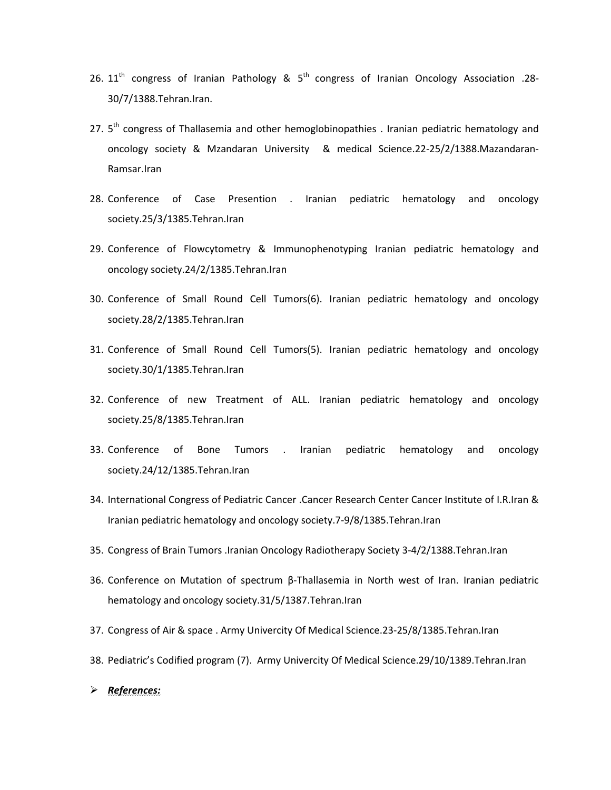- 26.  $11<sup>th</sup>$  congress of Iranian Pathology &  $5<sup>th</sup>$  congress of Iranian Oncology Association .28-30/7/1388.Tehran.Iran.
- 27.  $5<sup>th</sup>$  congress of Thallasemia and other hemoglobinopathies . Iranian pediatric hematology and oncology society & Mzandaran University & medical Science.22-25/2/1388.Mazandaran-Ramsar.Iran
- 28. Conference of Case Presention . Iranian pediatric hematology and oncology society.25/3/1385.Tehran.Iran
- 29. Conference of Flowcytometry & Immunophenotyping Iranian pediatric hematology and oncology society.24/2/1385.Tehran.Iran
- 30. Conference of Small Round Cell Tumors(6). Iranian pediatric hematology and oncology society.28/2/1385.Tehran.Iran
- 31. Conference of Small Round Cell Tumors(5). Iranian pediatric hematology and oncology society.30/1/1385.Tehran.Iran
- 32. Conference of new Treatment of ALL. Iranian pediatric hematology and oncology society.25/8/1385.Tehran.Iran
- 33. Conference of Bone Tumors . Iranian pediatric hematology and oncology society.24/12/1385.Tehran.Iran
- 34. International Congress of Pediatric Cancer .Cancer Research Center Cancer Institute of I.R.Iran & Iranian pediatric hematology and oncology society.7-9/8/1385.Tehran.Iran
- 35. Congress of Brain Tumors .Iranian Oncology Radiotherapy Society 3-4/2/1388.Tehran.Iran
- 36. Conference on Mutation of spectrum β-Thallasemia in North west of Iran. Iranian pediatric hematology and oncology society.31/5/1387.Tehran.Iran
- 37. Congress of Air & space . Army Univercity Of Medical Science.23-25/8/1385.Tehran.Iran
- 38. Pediatric's Codified program (7). Army Univercity Of Medical Science.29/10/1389.Tehran.Iran
- *References:*